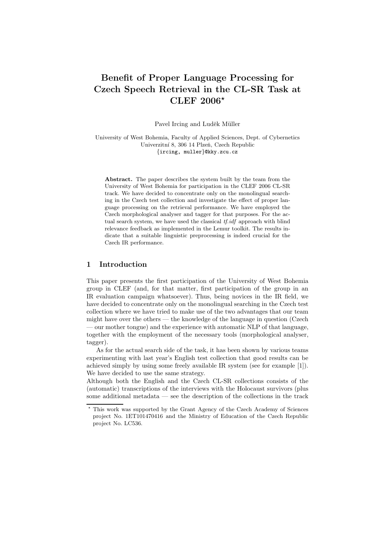# Benefit of Proper Language Processing for Czech Speech Retrieval in the CL-SR Task at CLEF  $2006*$

Pavel Ircing and Luděk Müller

University of West Bohemia, Faculty of Applied Sciences, Dept. of Cybernetics Univerzitní 8, 306 14 Plzeň, Czech Republic {ircing, muller}@kky.zcu.cz

Abstract. The paper describes the system built by the team from the University of West Bohemia for participation in the CLEF 2006 CL-SR track. We have decided to concentrate only on the monolingual searching in the Czech test collection and investigate the effect of proper language processing on the retrieval performance. We have employed the Czech morphological analyser and tagger for that purposes. For the actual search system, we have used the classical *tf.idf* approach with blind relevance feedback as implemented in the Lemur toolkit. The results indicate that a suitable linguistic preprocessing is indeed crucial for the Czech IR performance.

# 1 Introduction

This paper presents the first participation of the University of West Bohemia group in CLEF (and, for that matter, first participation of the group in an IR evaluation campaign whatsoever). Thus, being novices in the IR field, we have decided to concentrate only on the monolingual searching in the Czech test collection where we have tried to make use of the two advantages that our team might have over the others — the knowledge of the language in question (Czech — our mother tongue) and the experience with automatic NLP of that language, together with the employment of the necessary tools (morphological analyser, tagger).

As for the actual search side of the task, it has been shown by various teams experimenting with last year's English test collection that good results can be achieved simply by using some freely available IR system (see for example [1]). We have decided to use the same strategy.

Although both the English and the Czech CL-SR collections consists of the (automatic) transcriptions of the interviews with the Holocaust survivors (plus some additional metadata — see the description of the collections in the track

<sup>?</sup> This work was supported by the Grant Agency of the Czech Academy of Sciences project No. 1ET101470416 and the Ministry of Education of the Czech Republic project No. LC536.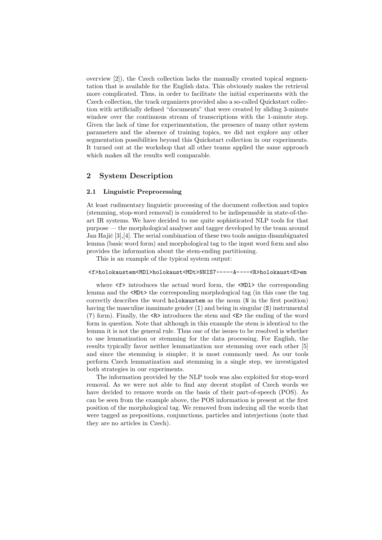overview [2]), the Czech collection lacks the manually created topical segmentation that is available for the English data. This obviously makes the retrieval more complicated. Thus, in order to facilitate the initial experiments with the Czech collection, the track organizers provided also a so-called Quickstart collection with artificially defined "documents" that were created by sliding 3-minute window over the continuous stream of transcriptions with the 1-minute step. Given the lack of time for experimentation, the presence of many other system parameters and the absence of training topics, we did not explore any other segmentation possibilities beyond this Quickstart collection in our experiments. It turned out at the workshop that all other teams applied the same approach which makes all the results well comparable.

# 2 System Description

#### 2.1 Linguistic Preprocessing

At least rudimentary linguistic processing of the document collection and topics (stemming, stop-word removal) is considered to be indispensable in state-of-theart IR systems. We have decided to use quite sophisticated NLP tools for that purpose — the morphological analyser and tagger developed by the team around Jan Hajič [3], [4]. The serial combination of these two tools assigns disambiguated lemma (basic word form) and morphological tag to the input word form and also provides the information about the stem-ending partitioning.

This is an example of the typical system output:

### <f>holokaustem<MDl>holokaust<MDt>NNIS7-----A----<R>holokaust<E>em

where  $\leq f$  introduces the actual word form, the  $\leq MDI$  the corresponding lemma and the <MDt> the corresponding morphological tag (in this case the tag correctly describes the word holokaustem as the noun (N in the first position) having the masculine inanimate gender (I) and being in singular (S) instrumental (7) form). Finally, the  $\langle R \rangle$  introduces the stem and  $\langle E \rangle$  the ending of the word form in question. Note that although in this example the stem is identical to the lemma it is not the general rule. Thus one of the issues to be resolved is whether to use lemmatization or stemming for the data processing. For English, the results typically favor neither lemmatization nor stemming over each other [5] and since the stemming is simpler, it is most commonly used. As our tools perform Czech lemmatization and stemming in a single step, we investigated both strategies in our experiments.

The information provided by the NLP tools was also exploited for stop-word removal. As we were not able to find any decent stoplist of Czech words we have decided to remove words on the basis of their part-of-speech (POS). As can be seen from the example above, the POS information is present at the first position of the morphological tag. We removed from indexing all the words that were tagged as prepositions, conjunctions, particles and interjections (note that they are no articles in Czech).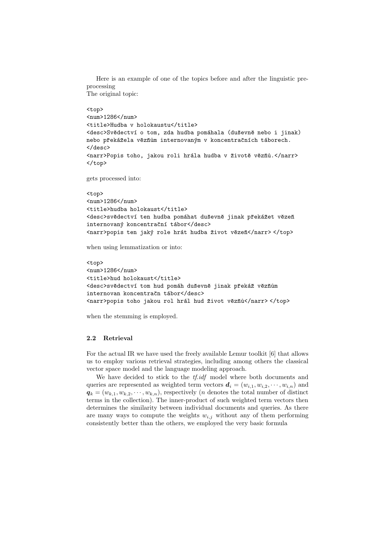Here is an example of one of the topics before and after the linguistic preprocessing The original topic:

<top> <num>1286</num> <title>Hudba v holokaustu</title> <desc>Svědectví o tom, zda hudba pomáhala (duševně nebo i jinak) nebo překážela vězňům internovaným v koncentračních táborech. </desc> <narr>Popis toho, jakou roli hrála hudba v životě vězňů.</narr> </top>

gets processed into:

```
<top>
<num>1286</num>
<title>hudba holokaust</title>
<desc>svědectví ten hudba pomáhat duševně jinak překážet vězeň
internovaný koncentrační tábor</desc>
<narr>popis ten jaký role hrát hudba život vězeň</narr> </top>
```
when using lemmatization or into:

```
<top>
<num>1286</num>
<title>hud holokaust</title>
<desc>svědectví tom hud pomáh duševně jinak překáž vězňům
internovan koncentračn tábor</desc>
<narr>popis toho jakou rol hrál hud život vězňů</narr> </top>
```
when the stemming is employed.

#### 2.2 Retrieval

For the actual IR we have used the freely available Lemur toolkit [6] that allows us to employ various retrieval strategies, including among others the classical vector space model and the language modeling approach.

We have decided to stick to the  $tf.idf$  model where both documents and queries are represented as weighted term vectors  $d_i = (w_{i,1}, w_{i,2}, \dots, w_{i,n})$  and  $q_k = (w_{k,1}, w_{k,2}, \dots, w_{k,n})$ , respectively (*n* denotes the total number of distinct terms in the collection). The inner-product of such weighted term vectors then determines the similarity between individual documents and queries. As there are many ways to compute the weights  $w_{i,j}$  without any of them performing consistently better than the others, we employed the very basic formula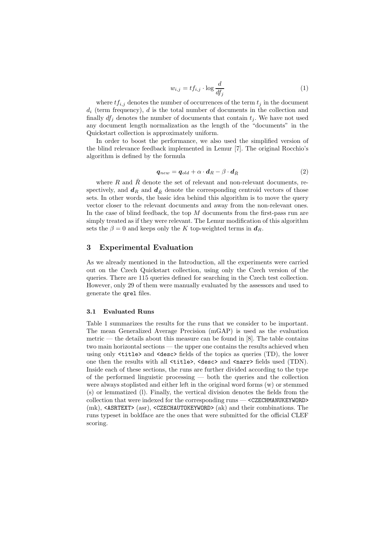$$
w_{i,j} = tf_{i,j} \cdot \log \frac{d}{df_j} \tag{1}
$$

where  $tf_{i,j}$  denotes the number of occurrences of the term  $t_j$  in the document  $d_i$  (term frequency),  $d$  is the total number of documents in the collection and finally  $df_i$  denotes the number of documents that contain  $t_i$ . We have not used any document length normalization as the length of the "documents" in the Quickstart collection is approximately uniform.

In order to boost the performance, we also used the simplified version of the blind relevance feedback implemented in Lemur [7]. The original Rocchio's algorithm is defined by the formula

$$
\boldsymbol{q}_{new} = \boldsymbol{q}_{old} + \alpha \cdot \boldsymbol{d}_{R} - \beta \cdot \boldsymbol{d}_{\bar{R}} \tag{2}
$$

where R and  $\overline{R}$  denote the set of relevant and non-relevant documents, respectively, and  $d_R$  and  $d_{\bar{R}}$  denote the corresponding centroid vectors of those sets. In other words, the basic idea behind this algorithm is to move the query vector closer to the relevant documents and away from the non-relevant ones. In the case of blind feedback, the top  $M$  documents from the first-pass run are simply treated as if they were relevant. The Lemur modification of this algorithm sets the  $\beta = 0$  and keeps only the K top-weighted terms in  $d_R$ .

## 3 Experimental Evaluation

As we already mentioned in the Introduction, all the experiments were carried out on the Czech Quickstart collection, using only the Czech version of the queries. There are 115 queries defined for searching in the Czech test collection. However, only 29 of them were manually evaluated by the assessors and used to generate the qrel files.

## 3.1 Evaluated Runs

Table 1 summarizes the results for the runs that we consider to be important. The mean Generalized Average Precision (mGAP) is used as the evaluation metric — the details about this measure can be found in  $[8]$ . The table contains two main horizontal sections — the upper one contains the results achieved when using only <title> and <desc> fields of the topics as queries (TD), the lower one then the results with all <title>, <desc> and <narr> fields used (TDN). Inside each of these sections, the runs are further divided according to the type of the performed linguistic processing — both the queries and the collection were always stoplisted and either left in the original word forms (w) or stemmed (s) or lemmatized (l). Finally, the vertical division denotes the fields from the collection that were indexed for the corresponding runs — <CZECHMANUKEYWORD> (mk), <ASRTEXT> (asr), <CZECHAUTOKEYWORD> (ak) and their combinations. The runs typeset in boldface are the ones that were submitted for the official CLEF scoring.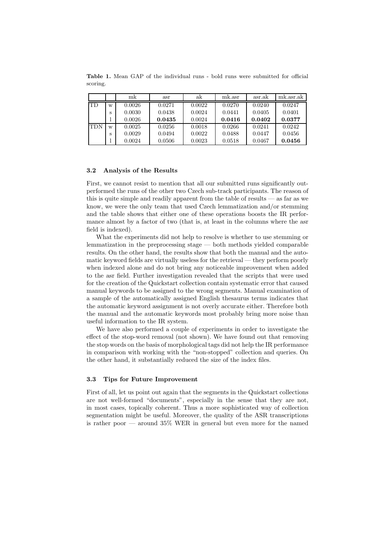|            |   | mk     | asr    | ak     | mk.asr | asr.ak | mk.asr.ak |
|------------|---|--------|--------|--------|--------|--------|-----------|
| <b>TD</b>  | W | 0.0026 | 0.0271 | 0.0022 | 0.0270 | 0.0240 | 0.0247    |
|            | s | 0.0030 | 0.0438 | 0.0024 | 0.0441 | 0.0405 | 0.0401    |
|            |   | 0.0026 | 0.0435 | 0.0024 | 0.0416 | 0.0402 | 0.0377    |
| <b>TDN</b> | W | 0.0025 | 0.0256 | 0.0018 | 0.0266 | 0.0241 | 0.0242    |
|            | S | 0.0029 | 0.0494 | 0.0022 | 0.0488 | 0.0447 | 0.0456    |
|            |   | 0.0024 | 0.0506 | 0.0023 | 0.0518 | 0.0467 | 0.0456    |

Table 1. Mean GAP of the individual runs - bold runs were submitted for official scoring.

#### 3.2 Analysis of the Results

First, we cannot resist to mention that all our submitted runs significantly outperformed the runs of the other two Czech sub-track participants. The reason of this is quite simple and readily apparent from the table of results — as far as we know, we were the only team that used Czech lemmatization and/or stemming and the table shows that either one of these operations boosts the IR performance almost by a factor of two (that is, at least in the columns where the asr field is indexed).

What the experiments did not help to resolve is whether to use stemming or lemmatization in the preprocessing stage — both methods yielded comparable results. On the other hand, the results show that both the manual and the automatic keyword fields are virtually useless for the retrieval — they perform poorly when indexed alone and do not bring any noticeable improvement when added to the asr field. Further investigation revealed that the scripts that were used for the creation of the Quickstart collection contain systematic error that caused manual keywords to be assigned to the wrong segments. Manual examination of a sample of the automatically assigned English thesaurus terms indicates that the automatic keyword assignment is not overly accurate either. Therefore both the manual and the automatic keywords most probably bring more noise than useful information to the IR system.

We have also performed a couple of experiments in order to investigate the effect of the stop-word removal (not shown). We have found out that removing the stop words on the basis of morphological tags did not help the IR performance in comparison with working with the "non-stopped" collection and queries. On the other hand, it substantially reduced the size of the index files.

#### 3.3 Tips for Future Improvement

First of all, let us point out again that the segments in the Quickstart collections are not well-formed "documents", especially in the sense that they are not, in most cases, topically coherent. Thus a more sophisticated way of collection segmentation might be useful. Moreover, the quality of the ASR transcriptions is rather poor — around 35% WER in general but even more for the named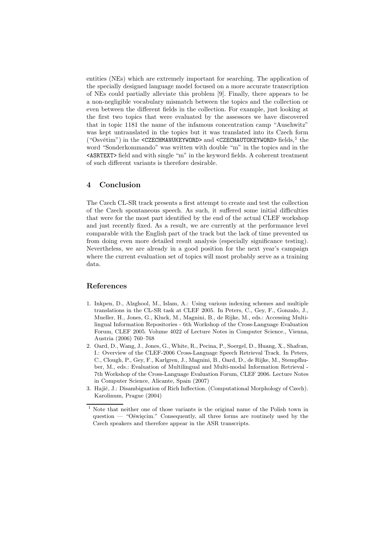entities (NEs) which are extremely important for searching. The application of the specially designed language model focused on a more accurate transcription of NEs could partially alleviate this problem [9]. Finally, there appears to be a non-negligible vocabulary mismatch between the topics and the collection or even between the different fields in the collection. For example, just looking at the first two topics that were evaluated by the assessors we have discovered that in topic 1181 the name of the infamous concentration camp "Auschwitz" was kept untranslated in the topics but it was translated into its Czech form ("Osvětim") in the <CZECHMANUKEYWORD> and <CZECHAUTOKEYWORD> fields,  $1$  the word "Sonderkommando" was written with double "m" in the topics and in the <ASRTEXT> field and with single "m" in the keyword fields. A coherent treatment of such different variants is therefore desirable.

# 4 Conclusion

The Czech CL-SR track presents a first attempt to create and test the collection of the Czech spontaneous speech. As such, it suffered some initial difficulties that were for the most part identified by the end of the actual CLEF workshop and just recently fixed. As a result, we are currently at the performance level comparable with the English part of the track but the lack of time prevented us from doing even more detailed result analysis (especially significance testing). Nevertheless, we are already in a good position for the next year's campaign where the current evaluation set of topics will most probably serve as a training data.

## References

- 1. Inkpen, D., Alzghool, M., Islam, A.: Using various indexing schemes and multiple translations in the CL-SR task at CLEF 2005. In Peters, C., Gey, F., Gonzalo, J., Mueller, H., Jones, G., Kluck, M., Magnini, B., de Rijke, M., eds.: Accessing Multilingual Information Repositories - 6th Workshop of the Cross-Language Evaluation Forum, CLEF 2005. Volume 4022 of Lecture Notes in Computer Science., Vienna, Austria (2006) 760–768
- 2. Oard, D., Wang, J., Jones, G., White, R., Pecina, P., Soergel, D., Huang, X., Shafran, I.: Overview of the CLEF-2006 Cross-Language Speech Retrieval Track. In Peters, C., Clough, P., Gey, F., Karlgren, J., Magnini, B., Oard, D., de Rijke, M., Stempfhuber, M., eds.: Evaluation of Multilingual and Multi-modal Information Retrieval - 7th Workshop of the Cross-Language Evaluation Forum, CLEF 2006. Lecture Notes in Computer Science, Alicante, Spain (2007)
- 3. Hajič, J.: Disambiguation of Rich Inflection. (Computational Morphology of Czech). Karolinum, Prague (2004)

<sup>&</sup>lt;sup>1</sup> Note that neither one of those variants is the original name of the Polish town in  $q$ uestion  $-$  "Oświęcim." Consequently, all three forms are routinely used by the Czech speakers and therefore appear in the ASR transcripts.